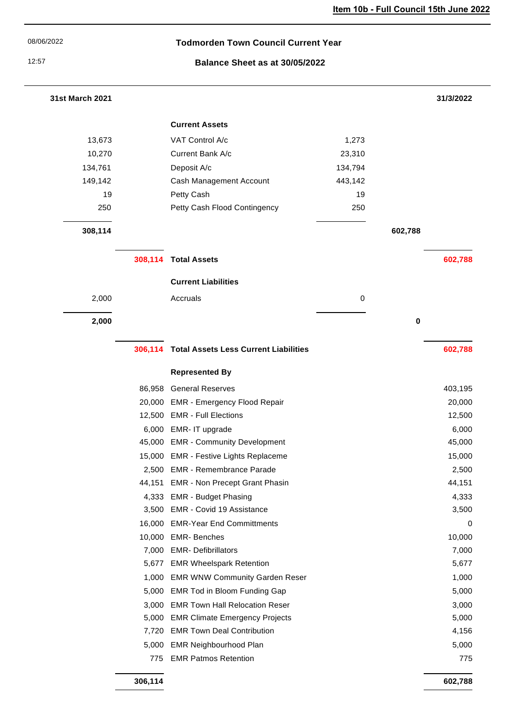| 08/06/2022                              | <b>Todmorden Town Council Current Year</b> |                                              |         |         |           |
|-----------------------------------------|--------------------------------------------|----------------------------------------------|---------|---------|-----------|
| 12:57<br>Balance Sheet as at 30/05/2022 |                                            |                                              |         |         |           |
| 31st March 2021                         |                                            |                                              |         |         | 31/3/2022 |
|                                         |                                            | <b>Current Assets</b>                        |         |         |           |
| 13,673                                  |                                            | VAT Control A/c                              | 1,273   |         |           |
| 10,270                                  |                                            | Current Bank A/c                             | 23,310  |         |           |
| 134,761                                 |                                            | Deposit A/c                                  | 134,794 |         |           |
| 149,142                                 |                                            | Cash Management Account                      | 443,142 |         |           |
| 19                                      |                                            | Petty Cash                                   | 19      |         |           |
| 250                                     |                                            | Petty Cash Flood Contingency                 | 250     |         |           |
| 308,114                                 |                                            |                                              |         | 602,788 |           |
|                                         |                                            | 308,114 Total Assets                         |         |         | 602,788   |
|                                         |                                            | <b>Current Liabilities</b>                   |         |         |           |
| 2,000                                   |                                            | Accruals                                     | 0       |         |           |
| 2,000                                   |                                            |                                              |         | 0       |           |
|                                         |                                            |                                              |         |         |           |
|                                         | 306,114                                    | <b>Total Assets Less Current Liabilities</b> |         |         | 602,788   |
|                                         |                                            | <b>Represented By</b>                        |         |         |           |
|                                         |                                            | 86,958 General Reserves                      |         |         | 403,195   |
|                                         | 20,000                                     | <b>EMR - Emergency Flood Repair</b>          |         |         | 20,000    |
|                                         |                                            | 12,500 EMR - Full Elections                  |         |         | 12,500    |
|                                         | 6,000                                      | EMR- IT upgrade                              |         |         | 6,000     |
|                                         | 45,000                                     | <b>EMR - Community Development</b>           |         |         | 45,000    |
|                                         | 15,000                                     | <b>EMR - Festive Lights Replaceme</b>        |         |         | 15,000    |
|                                         | 2,500                                      | <b>EMR - Remembrance Parade</b>              |         |         | 2,500     |
|                                         | 44,151                                     | <b>EMR - Non Precept Grant Phasin</b>        |         |         | 44,151    |
|                                         | 4,333                                      | <b>EMR - Budget Phasing</b>                  |         |         | 4,333     |
|                                         | 3,500                                      | EMR - Covid 19 Assistance                    |         |         | 3,500     |
|                                         | 16,000                                     | <b>EMR-Year End Committments</b>             |         |         | 0         |
|                                         | 10,000                                     | <b>EMR-Benches</b>                           |         |         | 10,000    |
|                                         | 7,000                                      | <b>EMR- Defibrillators</b>                   |         |         | 7,000     |
|                                         | 5,677                                      | <b>EMR Wheelspark Retention</b>              |         |         | 5,677     |
|                                         | 1,000                                      | <b>EMR WNW Community Garden Reser</b>        |         |         | 1,000     |
|                                         | 5,000                                      | EMR Tod in Bloom Funding Gap                 |         |         | 5,000     |
|                                         | 3,000                                      | <b>EMR Town Hall Relocation Reser</b>        |         |         | 3,000     |
|                                         | 5,000                                      | <b>EMR Climate Emergency Projects</b>        |         |         | 5,000     |
|                                         | 7,720                                      | <b>EMR Town Deal Contribution</b>            |         |         | 4,156     |
|                                         | 5,000                                      | <b>EMR Neighbourhood Plan</b>                |         |         | 5,000     |
|                                         | 775                                        | <b>EMR Patmos Retention</b>                  |         |         | 775       |